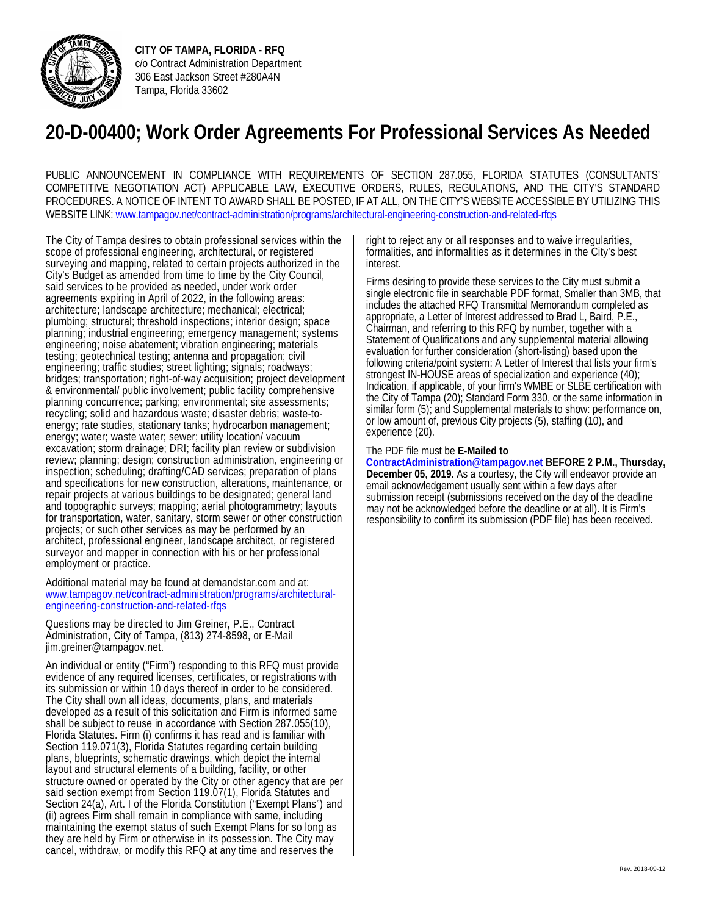

 **CITY OF TAMPA, FLORIDA - RFQ**  c/o Contract Administration Department 306 East Jackson Street #280A4N Tampa, Florida 33602

## **20-D-00400; Work Order Agreements For Professional Services As Needed**

 PUBLIC ANNOUNCEMENT IN COMPLIANCE WITH REQUIREMENTS OF SECTION 287.055, FLORIDA STATUTES (CONSULTANTS' PROCEDURES. A NOTICE OF INTENT TO AWARD SHALL BE POSTED, IF AT ALL, ON THE CITY'S WEBSITE ACCESSIBLE BY UTILIZING THIS COMPETITIVE NEGOTIATION ACT) APPLICABLE LAW, EXECUTIVE ORDERS, RULES, REGULATIONS, AND THE CITY'S STANDARD WEBSITE LINK: www.tampagov.net/contract-administration/programs/architectural-engineering-construction-and-related-rfqs

 City's Budget as amended from time to time by the City Council, said services to be provided as needed, under work order engineering; noise abatement; vibration engineering; materials & environmental/ public involvement; public facility comprehensive review; planning; design; construction administration, engineering or and specifications for new construction, alterations, maintenance, or projects; or such other services as may be performed by an The City of Tampa desires to obtain professional services within the scope of professional engineering, architectural, or registered surveying and mapping, related to certain projects authorized in the agreements expiring in April of 2022, in the following areas: architecture; landscape architecture; mechanical; electrical; plumbing; structural; threshold inspections; interior design; space planning; industrial engineering; emergency management; systems testing; geotechnical testing; antenna and propagation; civil engineering; traffic studies; street lighting; signals; roadways; bridges; transportation; right-of-way acquisition; project development planning concurrence; parking; environmental; site assessments; energy; rate studies, stationary tanks; hydrocarbon management; energy; water; waste water; sewer; utility location/ vacuum excavation; storm drainage; DRI; facility plan review or subdivision inspection; scheduling; drafting/CAD services; preparation of plans repair projects at various buildings to be designated; general land and topographic surveys; mapping; aerial photogrammetry; layouts for transportation, water, sanitary, storm sewer or other construction architect, professional engineer, landscape architect, or registered surveyor and mapper in connection with his or her professional employment or practice.

Additional material may be found at demandstar.com and at: www.tampagov.net/contract-administration/programs/architectural- engineering-construction-and-related-rfqs

Questions may be directed to Jim Greiner, P.E., Contract Administration, City of Tampa, (813) 274-8598, or E-Mail jim.greiner@tampagov.net.

 An individual or entity ("Firm") responding to this RFQ must provide its submission or within 10 days thereof in order to be considered. Florida Statutes. Firm (i) confirms it has read and is familiar with structure owned or operated by the City or other agency that are per Section 24(a), Art. I of the Florida Constitution ("Exempt Plans") and they are held by Firm or otherwise in its possession. The City may cancel, withdraw, or modify this RFQ at any time and reserves the evidence of any required licenses, certificates, or registrations with The City shall own all ideas, documents, plans, and materials developed as a result of this solicitation and Firm is informed same shall be subject to reuse in accordance with Section 287.055(10), Section 119.071(3), Florida Statutes regarding certain building plans, blueprints, schematic drawings, which depict the internal layout and structural elements of a building, facility, or other said section exempt from Section 119.07(1), Florida Statutes and (ii) agrees Firm shall remain in compliance with same, including maintaining the exempt status of such Exempt Plans for so long as

 right to reject any or all responses and to waive irregularities, formalities, and informalities as it determines in the City's best interest.

 includes the attached RFQ Transmittal Memorandum completed as Firms desiring to provide these services to the City must submit a single electronic file in searchable PDF format, Smaller than 3MB, that appropriate, a Letter of Interest addressed to Brad L, Baird, P.E., Chairman, and referring to this RFQ by number, together with a Statement of Qualifications and any supplemental material allowing evaluation for further consideration (short-listing) based upon the following criteria/point system: A Letter of Interest that lists your firm's strongest IN-HOUSE areas of specialization and experience (40); Indication, if applicable, of your firm's WMBE or SLBE certification with the City of Tampa (20); Standard Form 330, or the same information in similar form (5); and Supplemental materials to show: performance on, or low amount of, previous City projects (5), staffing (10), and experience (20).

## The PDF file must be **E-Mailed to**

 **[ContractAdministration@tampagov.net](mailto:ContractAdministration@tampagov.net) BEFORE 2 P.M., Thursday, December 05, 2019.** As a courtesy, the City will endeavor provide an email acknowledgement usually sent within a few days after submission receipt (submissions received on the day of the deadline may not be acknowledged before the deadline or at all). It is Firm's responsibility to confirm its submission (PDF file) has been received.